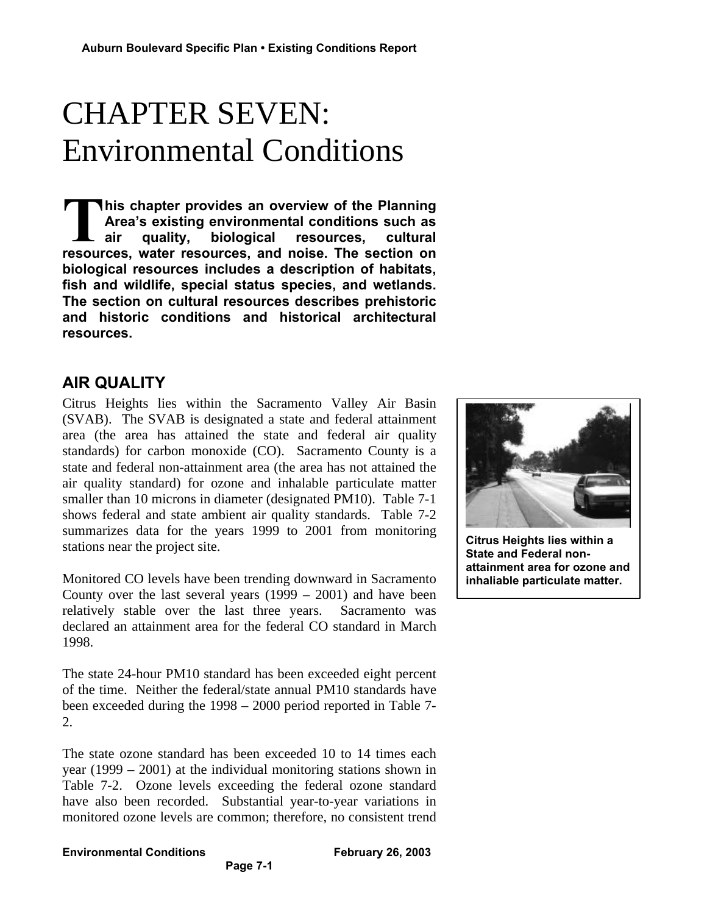# CHAPTER SEVEN: Environmental Conditions

**his chapter provides an overview of the Planning Area's existing environmental conditions such as air quality, biological resources, cultural** This chapter provides an overview of the Planning<br>Area's existing environmental conditions such as<br>air quality, biological resources, cultural<br>resources, water resources, and noise. The section on **biological resources includes a description of habitats, fish and wildlife, special status species, and wetlands. The section on cultural resources describes prehistoric and historic conditions and historical architectural resources.**

# **AIR QUALITY**

Citrus Heights lies within the Sacramento Valley Air Basin (SVAB). The SVAB is designated a state and federal attainment area (the area has attained the state and federal air quality standards) for carbon monoxide (CO). Sacramento County is a state and federal non-attainment area (the area has not attained the air quality standard) for ozone and inhalable particulate matter smaller than 10 microns in diameter (designated PM10). Table 7-1 shows federal and state ambient air quality standards. Table 7-2 summarizes data for the years 1999 to 2001 from monitoring stations near the project site.

Monitored CO levels have been trending downward in Sacramento County over the last several years (1999 – 2001) and have been relatively stable over the last three years. Sacramento was declared an attainment area for the federal CO standard in March 1998.

The state 24-hour PM10 standard has been exceeded eight percent of the time. Neither the federal/state annual PM10 standards have been exceeded during the 1998 – 2000 period reported in Table 7- 2.

The state ozone standard has been exceeded 10 to 14 times each year (1999 – 2001) at the individual monitoring stations shown in Table 7-2. Ozone levels exceeding the federal ozone standard have also been recorded. Substantial year-to-year variations in monitored ozone levels are common; therefore, no consistent trend



**Citrus Heights lies within a State and Federal nonattainment area for ozone and inhaliable particulate matter.**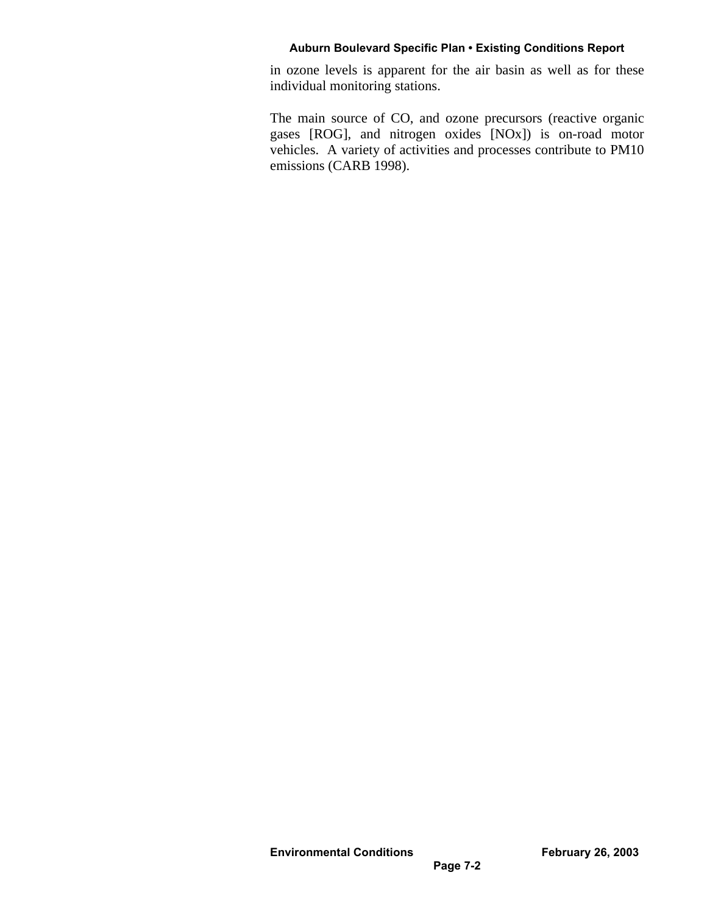in ozone levels is apparent for the air basin as well as for these individual monitoring stations.

The main source of CO, and ozone precursors (reactive organic gases [ROG], and nitrogen oxides [NOx]) is on-road motor vehicles. A variety of activities and processes contribute to PM10 emissions (CARB 1998).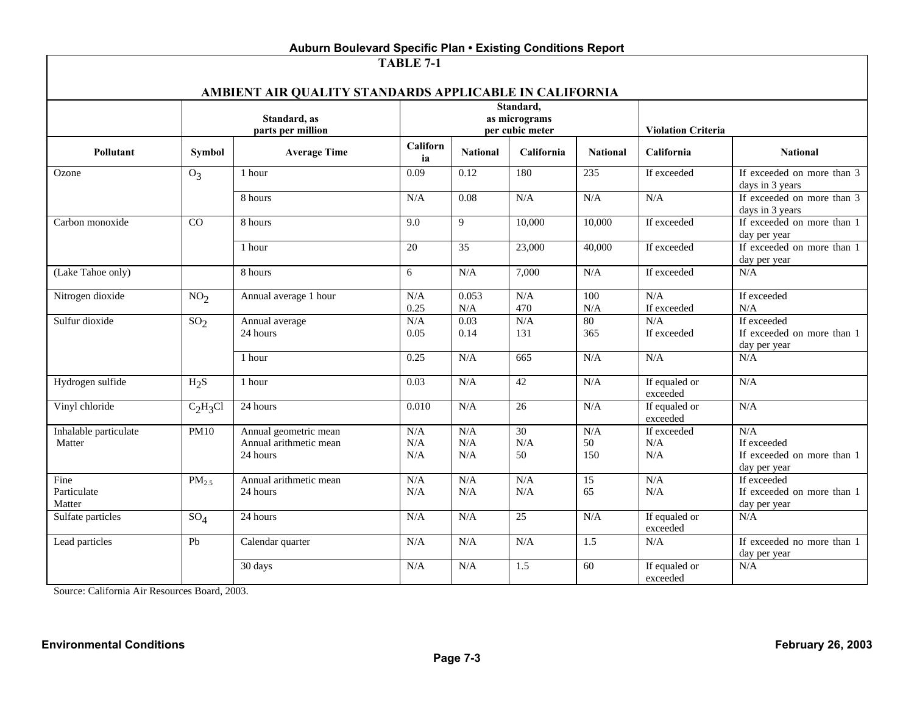| Auburn Boulevard Specific Plan • Existing Conditions Report         |                   |                                                             |                         |                                               |                 |                  |                           |                                                                  |  |
|---------------------------------------------------------------------|-------------------|-------------------------------------------------------------|-------------------------|-----------------------------------------------|-----------------|------------------|---------------------------|------------------------------------------------------------------|--|
| TABLE 7-1<br>AMBIENT AIR QUALITY STANDARDS APPLICABLE IN CALIFORNIA |                   |                                                             |                         |                                               |                 |                  |                           |                                                                  |  |
|                                                                     |                   | Standard, as<br>parts per million                           |                         | Standard.<br>as micrograms<br>per cubic meter |                 |                  | <b>Violation Criteria</b> |                                                                  |  |
| Pollutant                                                           | Symbol            | <b>Average Time</b>                                         | Californ<br>ia          | <b>National</b>                               | California      | <b>National</b>  | California                | <b>National</b>                                                  |  |
| Ozone                                                               | $O_3$             | 1 hour                                                      | 0.09                    | 0.12                                          | 180             | 235              | If exceeded               | If exceeded on more than 3<br>days in 3 years                    |  |
|                                                                     |                   | 8 hours                                                     | N/A                     | 0.08                                          | N/A             | N/A              | N/A                       | If exceeded on more than 3<br>days in 3 years                    |  |
| Carbon monoxide                                                     | CO                | 8 hours                                                     | 9.0                     | 9                                             | 10,000          | 10,000           | If exceeded               | If exceeded on more than 1<br>day per year                       |  |
|                                                                     |                   | 1 hour                                                      | 20                      | $\overline{35}$                               | 23,000          | 40,000           | If exceeded               | If exceeded on more than 1<br>day per year                       |  |
| (Lake Tahoe only)                                                   |                   | 8 hours                                                     | 6                       | N/A                                           | 7,000           | $\rm N/A$        | If exceeded               | N/A                                                              |  |
| Nitrogen dioxide                                                    | NO <sub>2</sub>   | Annual average 1 hour                                       | N/A<br>0.25             | 0.053<br>N/A                                  | N/A<br>470      | 100<br>N/A       | N/A<br>If exceeded        | If exceeded<br>N/A                                               |  |
| Sulfur dioxide                                                      | SO <sub>2</sub>   | Annual average<br>24 hours                                  | N/A<br>0.05             | 0.03<br>0.14                                  | N/A<br>131      | 80<br>365        | N/A<br>If exceeded        | If exceeded<br>If exceeded on more than 1<br>day per year        |  |
|                                                                     |                   | 1 hour                                                      | 0.25                    | N/A                                           | 665             | N/A              | N/A                       | N/A                                                              |  |
| Hydrogen sulfide                                                    | $H_2S$            | 1 hour                                                      | 0.03                    | N/A                                           | 42              | N/A              | If equaled or<br>exceeded | N/A                                                              |  |
| Vinyl chloride                                                      | $C_2H_3Cl$        | 24 hours                                                    | 0.010                   | N/A                                           | 26              | N/A              | If equaled or<br>exceeded | N/A                                                              |  |
| Inhalable particulate<br>Matter                                     | <b>PM10</b>       | Annual geometric mean<br>Annual arithmetic mean<br>24 hours | $\rm N/A$<br>N/A<br>N/A | N/A<br>$\rm N/A$<br>N/A                       | 30<br>N/A<br>50 | N/A<br>50<br>150 | If exceeded<br>N/A<br>N/A | N/A<br>If exceeded<br>If exceeded on more than 1<br>day per year |  |
| Fine<br>Particulate<br>Matter                                       | PM <sub>2.5</sub> | Annual arithmetic mean<br>24 hours                          | N/A<br>N/A              | N/A<br>N/A                                    | N/A<br>N/A      | 15<br>65         | N/A<br>N/A                | If exceeded<br>If exceeded on more than 1<br>day per year        |  |
| Sulfate particles                                                   | $SO_4$            | 24 hours                                                    | N/A                     | N/A                                           | 25              | N/A              | If equaled or<br>exceeded | N/A                                                              |  |
| Lead particles                                                      | Pb                | Calendar quarter                                            | N/A                     | N/A                                           | N/A             | $\overline{1.5}$ | N/A                       | If exceeded no more than 1<br>day per year                       |  |
|                                                                     |                   | 30 days                                                     | N/A                     | N/A                                           | 1.5             | 60               | If equaled or<br>exceeded | N/A                                                              |  |

Source: California Air Resources Board, 2003.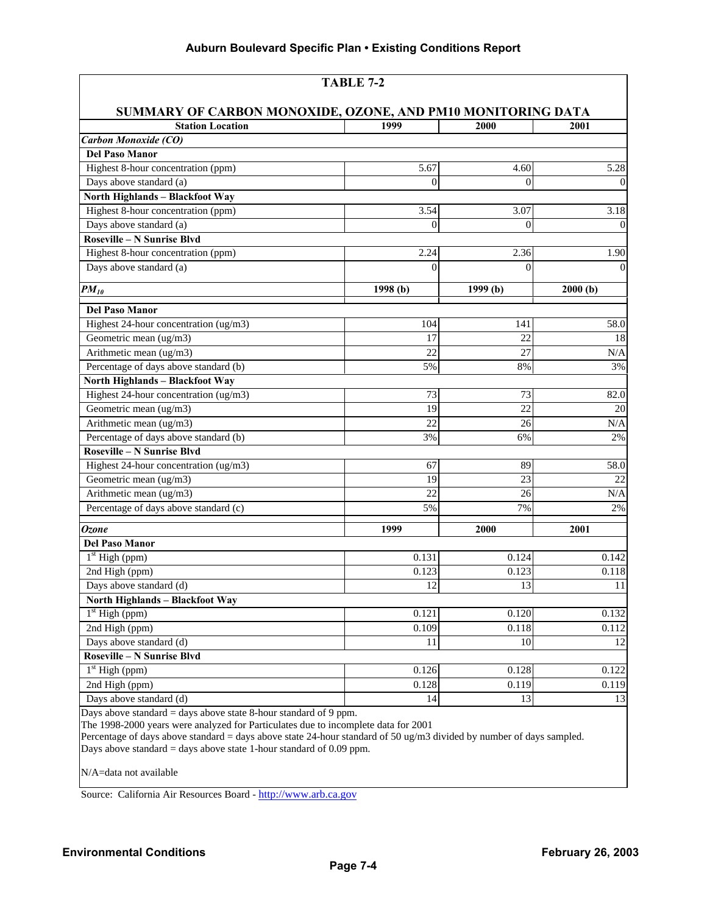| <b>TABLE 7-2</b>                                                 |                  |                        |                   |  |  |  |
|------------------------------------------------------------------|------------------|------------------------|-------------------|--|--|--|
| SUMMARY OF CARBON MONOXIDE, OZONE, AND PM10 MONITORING DATA      |                  |                        |                   |  |  |  |
| <b>Station Location</b>                                          | 1999             | 2000                   | 2001              |  |  |  |
| Carbon Monoxide (CO)                                             |                  |                        |                   |  |  |  |
| <b>Del Paso Manor</b>                                            |                  |                        |                   |  |  |  |
| Highest 8-hour concentration (ppm)                               | 5.67             | 4.60                   | $\overline{5.28}$ |  |  |  |
| Days above standard (a)                                          | $\mathbf{0}$     | $\overline{0}$         | $\boldsymbol{0}$  |  |  |  |
| North Highlands - Blackfoot Way                                  |                  |                        |                   |  |  |  |
| Highest 8-hour concentration (ppm)                               | 3.54             | 3.07                   | $\overline{3.18}$ |  |  |  |
| Days above standard (a)                                          | $\boldsymbol{0}$ | $\boldsymbol{0}$       | $\overline{0}$    |  |  |  |
| <b>Roseville - N Sunrise Blvd</b>                                |                  |                        |                   |  |  |  |
| Highest 8-hour concentration (ppm)                               | 2.24             | 2.36                   | 1.90              |  |  |  |
| Days above standard (a)                                          | $\overline{0}$   | $\Omega$               | $\Omega$          |  |  |  |
| $PM_{10}$                                                        | 1998 (b)         | $\overline{1}$ 999 (b) | 2000(b)           |  |  |  |
| <b>Del Paso Manor</b>                                            |                  |                        |                   |  |  |  |
| Highest 24-hour concentration (ug/m3)                            | 104              | 141                    | 58.0              |  |  |  |
| Geometric mean (ug/m3)                                           | 17               | 22                     | 18                |  |  |  |
| Arithmetic mean (ug/m3)                                          | 22               | 27                     | N/A               |  |  |  |
| Percentage of days above standard (b)                            | 5%               | 8%                     | 3%                |  |  |  |
| <b>North Highlands - Blackfoot Way</b>                           |                  |                        |                   |  |  |  |
| Highest 24-hour concentration (ug/m3)                            | 73               | 73                     | 82.0              |  |  |  |
| Geometric mean (ug/m3)                                           | 19               | 22                     | 20                |  |  |  |
| Arithmetic mean (ug/m3)                                          | 22               | 26                     | N/A               |  |  |  |
| Percentage of days above standard (b)                            | 3%               | 6%                     | 2%                |  |  |  |
| Roseville - N Sunrise Blvd                                       |                  |                        |                   |  |  |  |
| Highest 24-hour concentration (ug/m3)                            | 67               | 89                     | 58.0              |  |  |  |
| Geometric mean (ug/m3)                                           | 19               | 23                     | 22                |  |  |  |
| Arithmetic mean (ug/m3)                                          | 22               | 26                     | $\rm N/A$         |  |  |  |
| Percentage of days above standard (c)                            | 5%               | 7%                     | 2%                |  |  |  |
| <b>Ozone</b>                                                     | 1999             | 2000                   | 2001              |  |  |  |
| <b>Del Paso Manor</b>                                            |                  |                        |                   |  |  |  |
| $1st$ High (ppm)                                                 | 0.131            | 0.124                  | 0.142             |  |  |  |
| 2nd High (ppm)                                                   | 0.123            | 0.123                  | 0.118             |  |  |  |
| Days above standard (d)                                          | 12               | 13                     | 11                |  |  |  |
| North Highlands - Blackfoot Way                                  |                  |                        |                   |  |  |  |
| $1st$ High (ppm)                                                 | 0.121            | 0.120                  | 0.132             |  |  |  |
| 2nd High (ppm)                                                   | 0.109            | 0.118                  | 0.112             |  |  |  |
| Days above standard (d)                                          | 11               | 10                     | 12                |  |  |  |
| Roseville - N Sunrise Blvd                                       |                  |                        |                   |  |  |  |
| $1st$ High (ppm)                                                 | 0.126            | 0.128                  | 0.122             |  |  |  |
| 2nd High (ppm)                                                   | 0.128            | 0.119                  | 0.119             |  |  |  |
| Days above standard (d)                                          | 14               | 13                     | 13                |  |  |  |
| Days above standard = days above state 8-hour standard of 9 ppm. |                  |                        |                   |  |  |  |

The 1998-2000 years were analyzed for Particulates due to incomplete data for 2001

Percentage of days above standard = days above state 24-hour standard of 50 ug/m3 divided by number of days sampled.

Days above standard = days above state 1-hour standard of 0.09 ppm.

N/A=data not available

Source: California Air Resources Board - http://www.arb.ca.gov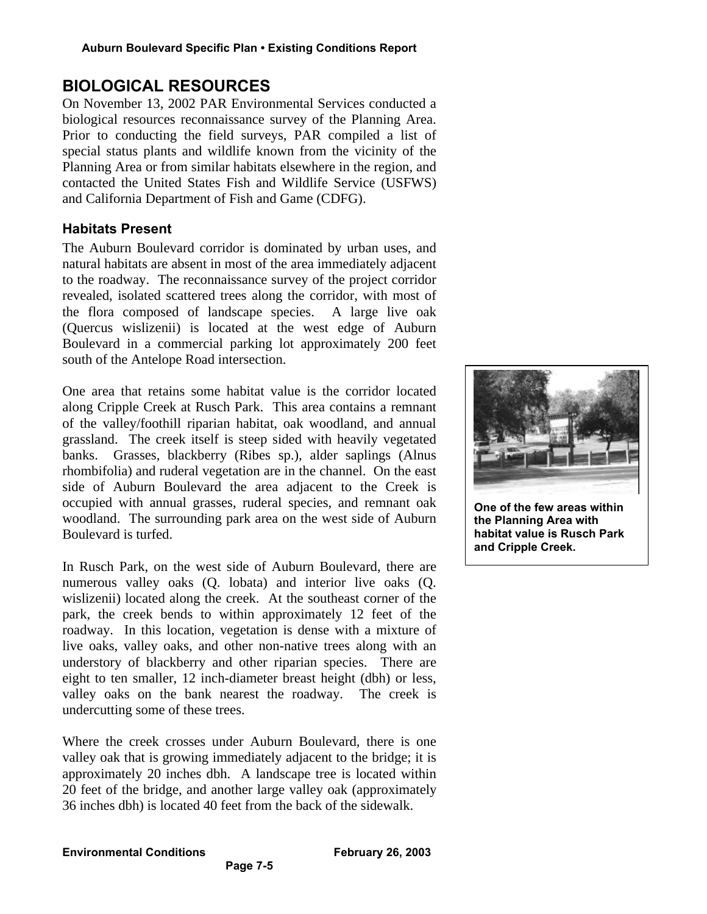# **BIOLOGICAL RESOURCES**

On November 13, 2002 PAR Environmental Services conducted a biological resources reconnaissance survey of the Planning Area. Prior to conducting the field surveys, PAR compiled a list of special status plants and wildlife known from the vicinity of the Planning Area or from similar habitats elsewhere in the region, and contacted the United States Fish and Wildlife Service (USFWS) and California Department of Fish and Game (CDFG).

## **Habitats Present**

The Auburn Boulevard corridor is dominated by urban uses, and natural habitats are absent in most of the area immediately adjacent to the roadway. The reconnaissance survey of the project corridor revealed, isolated scattered trees along the corridor, with most of the flora composed of landscape species. A large live oak (Quercus wislizenii) is located at the west edge of Auburn Boulevard in a commercial parking lot approximately 200 feet south of the Antelope Road intersection.

One area that retains some habitat value is the corridor located along Cripple Creek at Rusch Park. This area contains a remnant of the valley/foothill riparian habitat, oak woodland, and annual grassland. The creek itself is steep sided with heavily vegetated banks. Grasses, blackberry (Ribes sp.), alder saplings (Alnus rhombifolia) and ruderal vegetation are in the channel. On the east side of Auburn Boulevard the area adjacent to the Creek is occupied with annual grasses, ruderal species, and remnant oak woodland. The surrounding park area on the west side of Auburn Boulevard is turfed.

In Rusch Park, on the west side of Auburn Boulevard, there are numerous valley oaks (Q. lobata) and interior live oaks (Q. wislizenii) located along the creek. At the southeast corner of the park, the creek bends to within approximately 12 feet of the roadway. In this location, vegetation is dense with a mixture of live oaks, valley oaks, and other non-native trees along with an understory of blackberry and other riparian species. There are eight to ten smaller, 12 inch-diameter breast height (dbh) or less, valley oaks on the bank nearest the roadway. The creek is undercutting some of these trees.

Where the creek crosses under Auburn Boulevard, there is one valley oak that is growing immediately adjacent to the bridge; it is approximately 20 inches dbh. A landscape tree is located within 20 feet of the bridge, and another large valley oak (approximately 36 inches dbh) is located 40 feet from the back of the sidewalk.

**Page 7-5**



**One of the few areas within the Planning Area with habitat value is Rusch Park and Cripple Creek.**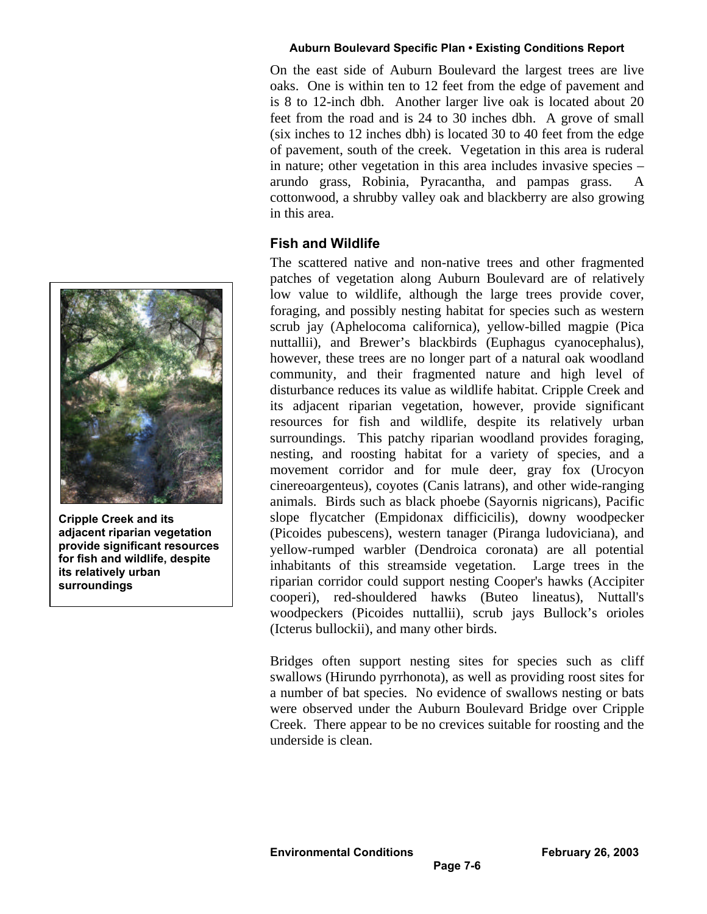On the east side of Auburn Boulevard the largest trees are live oaks. One is within ten to 12 feet from the edge of pavement and is 8 to 12-inch dbh. Another larger live oak is located about 20 feet from the road and is 24 to 30 inches dbh. A grove of small (six inches to 12 inches dbh) is located 30 to 40 feet from the edge of pavement, south of the creek. Vegetation in this area is ruderal in nature; other vegetation in this area includes invasive species – arundo grass, Robinia, Pyracantha, and pampas grass. A cottonwood, a shrubby valley oak and blackberry are also growing in this area.

# **Fish and Wildlife**

The scattered native and non-native trees and other fragmented patches of vegetation along Auburn Boulevard are of relatively low value to wildlife, although the large trees provide cover, foraging, and possibly nesting habitat for species such as western scrub jay (Aphelocoma californica), yellow-billed magpie (Pica nuttallii), and Brewer's blackbirds (Euphagus cyanocephalus), however, these trees are no longer part of a natural oak woodland community, and their fragmented nature and high level of disturbance reduces its value as wildlife habitat. Cripple Creek and its adjacent riparian vegetation, however, provide significant resources for fish and wildlife, despite its relatively urban surroundings. This patchy riparian woodland provides foraging, nesting, and roosting habitat for a variety of species, and a movement corridor and for mule deer, gray fox (Urocyon cinereoargenteus), coyotes (Canis latrans), and other wide-ranging animals. Birds such as black phoebe (Sayornis nigricans), Pacific slope flycatcher (Empidonax difficicilis), downy woodpecker (Picoides pubescens), western tanager (Piranga ludoviciana), and yellow-rumped warbler (Dendroica coronata) are all potential inhabitants of this streamside vegetation. Large trees in the riparian corridor could support nesting Cooper's hawks (Accipiter cooperi), red-shouldered hawks (Buteo lineatus), Nuttall's woodpeckers (Picoides nuttallii), scrub jays Bullock's orioles (Icterus bullockii), and many other birds.

Bridges often support nesting sites for species such as cliff swallows (Hirundo pyrrhonota), as well as providing roost sites for a number of bat species. No evidence of swallows nesting or bats were observed under the Auburn Boulevard Bridge over Cripple Creek. There appear to be no crevices suitable for roosting and the underside is clean.



**Cripple Creek and its adjacent riparian vegetation provide significant resources for fish and wildlife, despite its relatively urban surroundings**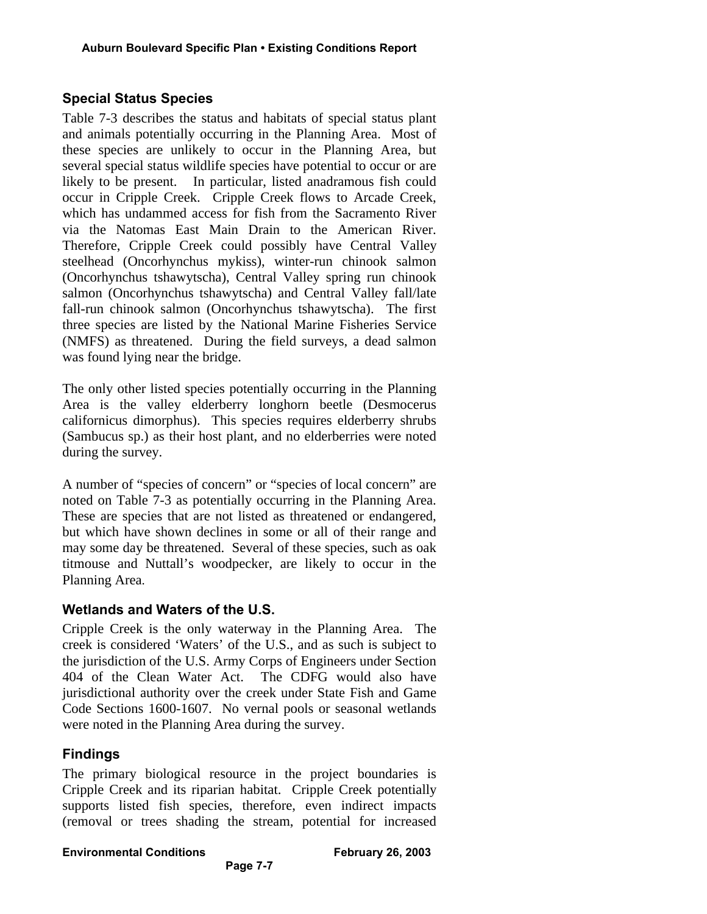# **Special Status Species**

Table 7-3 describes the status and habitats of special status plant and animals potentially occurring in the Planning Area. Most of these species are unlikely to occur in the Planning Area, but several special status wildlife species have potential to occur or are likely to be present. In particular, listed anadramous fish could occur in Cripple Creek. Cripple Creek flows to Arcade Creek, which has undammed access for fish from the Sacramento River via the Natomas East Main Drain to the American River. Therefore, Cripple Creek could possibly have Central Valley steelhead (Oncorhynchus mykiss), winter-run chinook salmon (Oncorhynchus tshawytscha), Central Valley spring run chinook salmon (Oncorhynchus tshawytscha) and Central Valley fall/late fall-run chinook salmon (Oncorhynchus tshawytscha). The first three species are listed by the National Marine Fisheries Service (NMFS) as threatened. During the field surveys, a dead salmon was found lying near the bridge.

The only other listed species potentially occurring in the Planning Area is the valley elderberry longhorn beetle (Desmocerus californicus dimorphus). This species requires elderberry shrubs (Sambucus sp.) as their host plant, and no elderberries were noted during the survey.

A number of "species of concern" or "species of local concern" are noted on Table 7-3 as potentially occurring in the Planning Area. These are species that are not listed as threatened or endangered, but which have shown declines in some or all of their range and may some day be threatened. Several of these species, such as oak titmouse and Nuttall's woodpecker, are likely to occur in the Planning Area.

## **Wetlands and Waters of the U.S.**

Cripple Creek is the only waterway in the Planning Area. The creek is considered 'Waters' of the U.S., and as such is subject to the jurisdiction of the U.S. Army Corps of Engineers under Section 404 of the Clean Water Act. The CDFG would also have jurisdictional authority over the creek under State Fish and Game Code Sections 1600-1607. No vernal pools or seasonal wetlands were noted in the Planning Area during the survey.

## **Findings**

The primary biological resource in the project boundaries is Cripple Creek and its riparian habitat. Cripple Creek potentially supports listed fish species, therefore, even indirect impacts (removal or trees shading the stream, potential for increased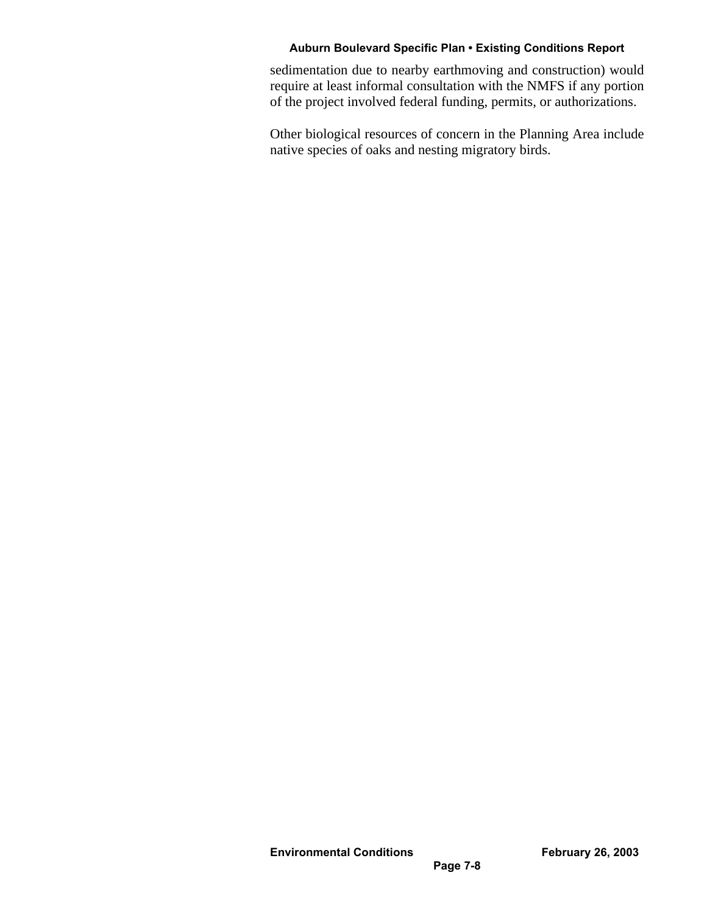sedimentation due to nearby earthmoving and construction) would require at least informal consultation with the NMFS if any portion of the project involved federal funding, permits, or authorizations.

Other biological resources of concern in the Planning Area include native species of oaks and nesting migratory birds.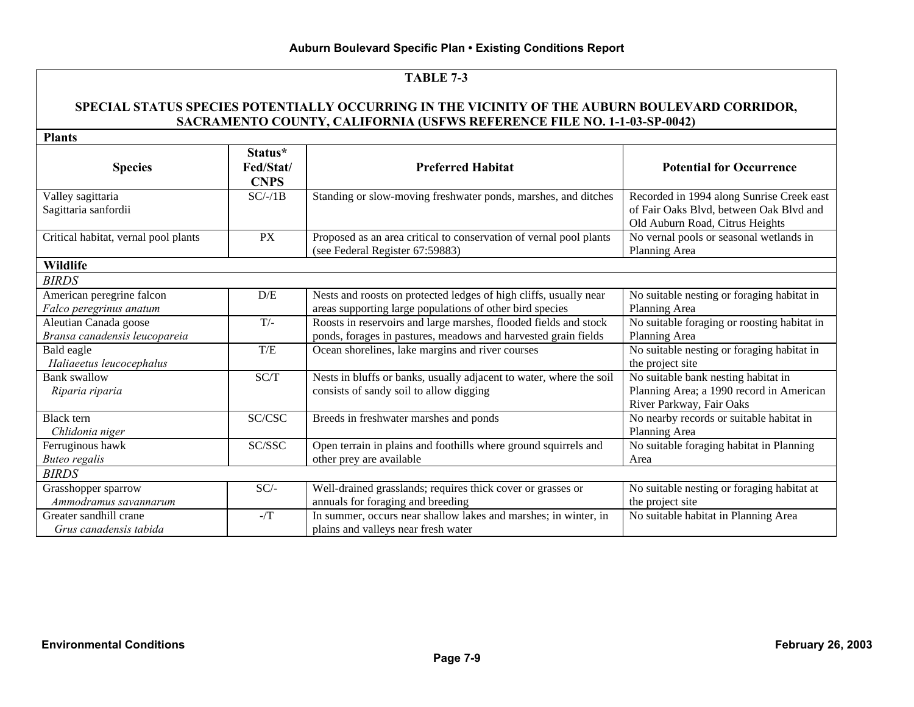#### **SPECIAL STATUS SPECIES POTENTIALLY OCCURRING IN THE VICINITY OF THE AUBURN BOULEVARD CORRIDOR, SACRAMENTO COUNTY, CALIFORNIA (USFWS REFERENCE FILE NO. 1-1-03-SP-0042)**

**Plants**

| <b>Plants</b>                                          |                                     |                                                                                                                                    |                                                                                                                         |
|--------------------------------------------------------|-------------------------------------|------------------------------------------------------------------------------------------------------------------------------------|-------------------------------------------------------------------------------------------------------------------------|
| <b>Species</b>                                         | Status*<br>Fed/Stat/<br><b>CNPS</b> | <b>Preferred Habitat</b>                                                                                                           | <b>Potential for Occurrence</b>                                                                                         |
| Valley sagittaria<br>Sagittaria sanfordii              | $SC/-/1B$                           | Standing or slow-moving freshwater ponds, marshes, and ditches                                                                     | Recorded in 1994 along Sunrise Creek east<br>of Fair Oaks Blvd, between Oak Blvd and<br>Old Auburn Road, Citrus Heights |
| Critical habitat, vernal pool plants                   | <b>PX</b>                           | Proposed as an area critical to conservation of vernal pool plants<br>(see Federal Register 67:59883)                              | No vernal pools or seasonal wetlands in<br>Planning Area                                                                |
| <b>Wildlife</b>                                        |                                     |                                                                                                                                    |                                                                                                                         |
| <b>BIRDS</b>                                           |                                     |                                                                                                                                    |                                                                                                                         |
| American peregrine falcon<br>Falco peregrinus anatum   | D/E                                 | Nests and roosts on protected ledges of high cliffs, usually near<br>areas supporting large populations of other bird species      | No suitable nesting or foraging habitat in<br>Planning Area                                                             |
| Aleutian Canada goose<br>Bransa canadensis leucopareia | $T/-$                               | Roosts in reservoirs and large marshes, flooded fields and stock<br>ponds, forages in pastures, meadows and harvested grain fields | No suitable foraging or roosting habitat in<br>Planning Area                                                            |
| Bald eagle<br>Haliaeetus leucocephalus                 | T/E                                 | Ocean shorelines, lake margins and river courses                                                                                   | No suitable nesting or foraging habitat in<br>the project site                                                          |
| Bank swallow<br>Riparia riparia                        | SC/T                                | Nests in bluffs or banks, usually adjacent to water, where the soil<br>consists of sandy soil to allow digging                     | No suitable bank nesting habitat in<br>Planning Area; a 1990 record in American<br>River Parkway, Fair Oaks             |
| <b>Black</b> tern<br>Chlidonia niger                   | SC/CSC                              | Breeds in freshwater marshes and ponds                                                                                             | No nearby records or suitable habitat in<br>Planning Area                                                               |
| Ferruginous hawk<br><b>Buteo regalis</b>               | SC/SSC                              | Open terrain in plains and foothills where ground squirrels and<br>other prey are available                                        | No suitable foraging habitat in Planning<br>Area                                                                        |
| <b>BIRDS</b>                                           |                                     |                                                                                                                                    |                                                                                                                         |
| Grasshopper sparrow<br>Ammodramus savannarum           | $SC/-$                              | Well-drained grasslands; requires thick cover or grasses or<br>annuals for foraging and breeding                                   | No suitable nesting or foraging habitat at<br>the project site                                                          |
| Greater sandhill crane<br>Grus canadensis tabida       | -/T                                 | In summer, occurs near shallow lakes and marshes; in winter, in<br>plains and valleys near fresh water                             | No suitable habitat in Planning Area                                                                                    |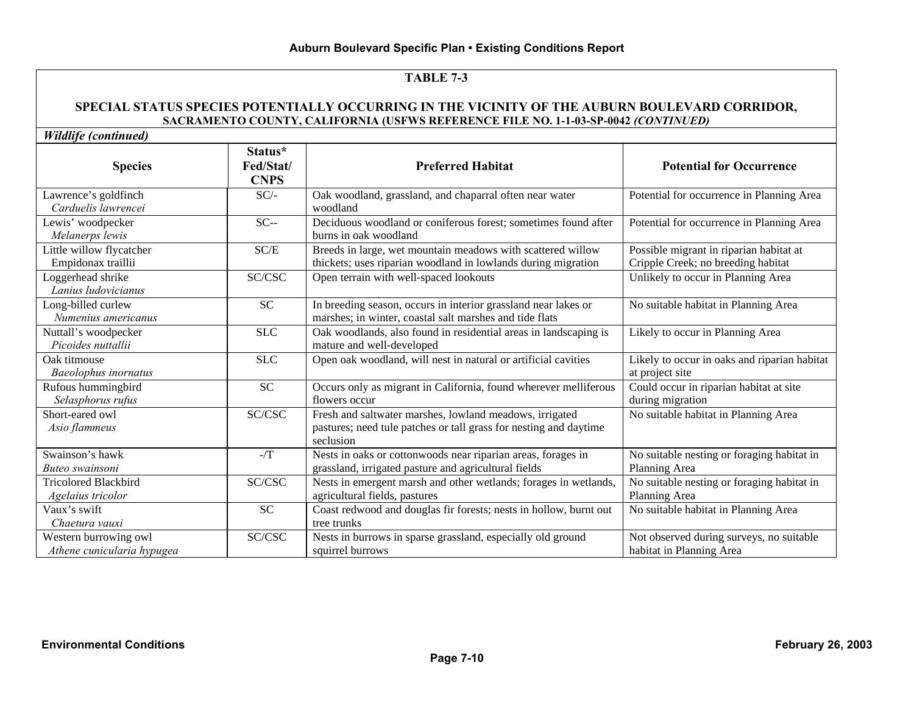#### **SPECIAL STATUS SPECIES POTENTIALLY OCCURRING IN THE VICINITY OF THE AUBURN BOULEVARD CORRIDOR, SACRAMENTO COUNTY, CALIFORNIA (USFWS REFERENCE FILE NO. 1-1-03-SP-0042** *(CONTINUED)*

| <b>Species</b>                                      | Status*<br>Fed/Stat/<br><b>CNPS</b> | <b>Preferred Habitat</b>                                                                                                                  | <b>Potential for Occurrence</b>                                               |
|-----------------------------------------------------|-------------------------------------|-------------------------------------------------------------------------------------------------------------------------------------------|-------------------------------------------------------------------------------|
| Lawrence's goldfinch<br>Carduelis lawrencei         | $SC/-$                              | Oak woodland, grassland, and chaparral often near water<br>woodland                                                                       | Potential for occurrence in Planning Area                                     |
| Lewis' woodpecker<br>Melanerps lewis                | $SC-$                               | Deciduous woodland or coniferous forest; sometimes found after<br>burns in oak woodland                                                   | Potential for occurrence in Planning Area                                     |
| Little willow flycatcher<br>Empidonax traillii      | SC/E                                | Breeds in large, wet mountain meadows with scattered willow<br>thickets; uses riparian woodland in lowlands during migration              | Possible migrant in riparian habitat at<br>Cripple Creek; no breeding habitat |
| Loggerhead shrike<br>Lanius ludovicianus            | SC/CSC                              | Open terrain with well-spaced lookouts                                                                                                    | Unlikely to occur in Planning Area                                            |
| Long-billed curlew<br>Numenius americanus           | <b>SC</b>                           | In breeding season, occurs in interior grassland near lakes or<br>marshes; in winter, coastal salt marshes and tide flats                 | No suitable habitat in Planning Area                                          |
| Nuttall's woodpecker<br>Picoides nuttallii          | <b>SLC</b>                          | Oak woodlands, also found in residential areas in landscaping is<br>mature and well-developed                                             | Likely to occur in Planning Area                                              |
| Oak titmouse<br><b>Baeolophus</b> inornatus         | <b>SLC</b>                          | Open oak woodland, will nest in natural or artificial cavities                                                                            | Likely to occur in oaks and riparian habitat<br>at project site               |
| Rufous hummingbird<br>Selasphorus rufus             | <b>SC</b>                           | Occurs only as migrant in California, found wherever melliferous<br>flowers occur                                                         | Could occur in riparian habitat at site<br>during migration                   |
| Short-eared owl<br>Asio flammeus                    | SC/CSC                              | Fresh and saltwater marshes, lowland meadows, irrigated<br>pastures; need tule patches or tall grass for nesting and daytime<br>seclusion | No suitable habitat in Planning Area                                          |
| Swainson's hawk<br>Buteo swainsoni                  | $-$ /T                              | Nests in oaks or cottonwoods near riparian areas, forages in<br>grassland, irrigated pasture and agricultural fields                      | No suitable nesting or foraging habitat in<br>Planning Area                   |
| <b>Tricolored Blackbird</b><br>Agelaius tricolor    | SC/CSC                              | Nests in emergent marsh and other wetlands; forages in wetlands,<br>agricultural fields, pastures                                         | No suitable nesting or foraging habitat in<br>Planning Area                   |
| Vaux's swift<br>Chaetura vauxi                      | <b>SC</b>                           | Coast redwood and douglas fir forests; nests in hollow, burnt out<br>tree trunks                                                          | No suitable habitat in Planning Area                                          |
| Western burrowing owl<br>Athene cunicularia hypugea | $\mathbf{SC}/\mathbf{C}\mathbf{SC}$ | Nests in burrows in sparse grassland, especially old ground<br>squirrel burrows                                                           | Not observed during surveys, no suitable<br>habitat in Planning Area          |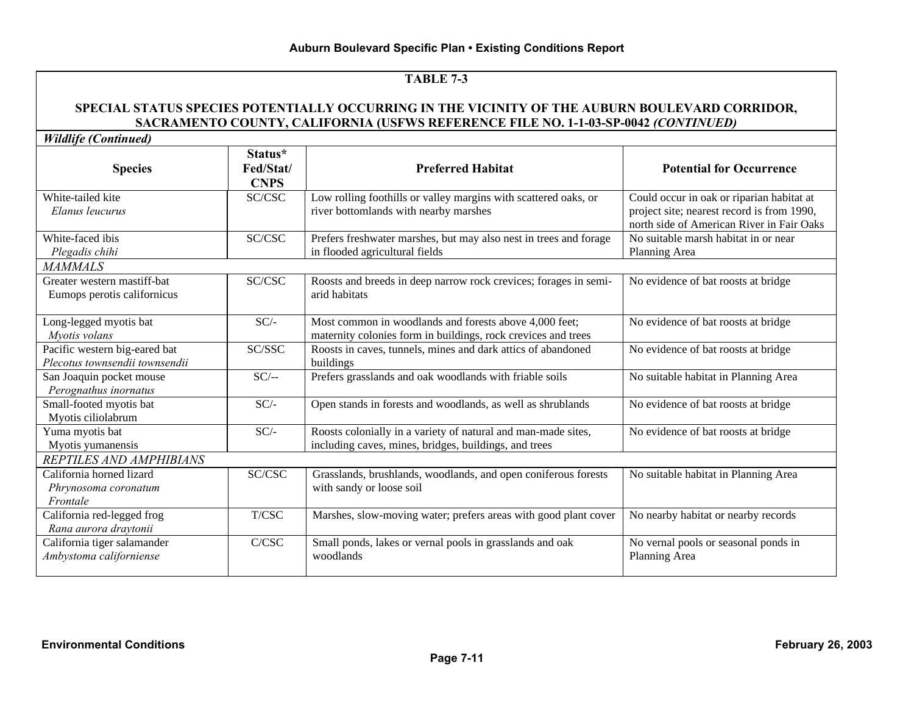#### **SPECIAL STATUS SPECIES POTENTIALLY OCCURRING IN THE VICINITY OF THE AUBURN BOULEVARD CORRIDOR, SACRAMENTO COUNTY, CALIFORNIA (USFWS REFERENCE FILE NO. 1-1-03-SP-0042** *(CONTINUED)*

*Wildlife (Continued)*

| <i>rriaage</i> (Communeu)                                       |                                     |                                                                                                                         |                                                                                                                                      |
|-----------------------------------------------------------------|-------------------------------------|-------------------------------------------------------------------------------------------------------------------------|--------------------------------------------------------------------------------------------------------------------------------------|
| <b>Species</b>                                                  | Status*<br>Fed/Stat/<br><b>CNPS</b> | <b>Preferred Habitat</b>                                                                                                | <b>Potential for Occurrence</b>                                                                                                      |
| White-tailed kite<br>Elanus leucurus                            | SC/CSC                              | Low rolling foothills or valley margins with scattered oaks, or<br>river bottomlands with nearby marshes                | Could occur in oak or riparian habitat at<br>project site; nearest record is from 1990,<br>north side of American River in Fair Oaks |
| White-faced ibis<br>Plegadis chihi                              | SC/CSC                              | Prefers freshwater marshes, but may also nest in trees and forage<br>in flooded agricultural fields                     | No suitable marsh habitat in or near<br>Planning Area                                                                                |
| <b>MAMMALS</b>                                                  |                                     |                                                                                                                         |                                                                                                                                      |
| Greater western mastiff-bat<br>Eumops perotis californicus      | SC/CSC                              | Roosts and breeds in deep narrow rock crevices; forages in semi-<br>arid habitats                                       | No evidence of bat roosts at bridge                                                                                                  |
| Long-legged myotis bat<br>Myotis volans                         | $SC/-$                              | Most common in woodlands and forests above 4,000 feet;<br>maternity colonies form in buildings, rock crevices and trees | No evidence of bat roosts at bridge                                                                                                  |
| Pacific western big-eared bat<br>Plecotus townsendii townsendii | SC/SSC                              | Roosts in caves, tunnels, mines and dark attics of abandoned<br>buildings                                               | No evidence of bat roosts at bridge                                                                                                  |
| San Joaquin pocket mouse<br>Perognathus inornatus               | $SC/-$                              | Prefers grasslands and oak woodlands with friable soils                                                                 | No suitable habitat in Planning Area                                                                                                 |
| Small-footed myotis bat<br>Myotis ciliolabrum                   | $SC/-$                              | Open stands in forests and woodlands, as well as shrublands                                                             | No evidence of bat roosts at bridge                                                                                                  |
| Yuma myotis bat<br>Myotis yumanensis                            | $SC/-$                              | Roosts colonially in a variety of natural and man-made sites,<br>including caves, mines, bridges, buildings, and trees  | No evidence of bat roosts at bridge                                                                                                  |
| REPTILES AND AMPHIBIANS                                         |                                     |                                                                                                                         |                                                                                                                                      |
| California horned lizard<br>Phrynosoma coronatum<br>Frontale    | SC/CSC                              | Grasslands, brushlands, woodlands, and open coniferous forests<br>with sandy or loose soil                              | No suitable habitat in Planning Area                                                                                                 |
| California red-legged frog<br>Rana aurora draytonii             | T/CSC                               | Marshes, slow-moving water; prefers areas with good plant cover                                                         | No nearby habitat or nearby records                                                                                                  |
| California tiger salamander<br>Ambystoma californiense          | C/CSC                               | Small ponds, lakes or vernal pools in grasslands and oak<br>woodlands                                                   | No vernal pools or seasonal ponds in<br>Planning Area                                                                                |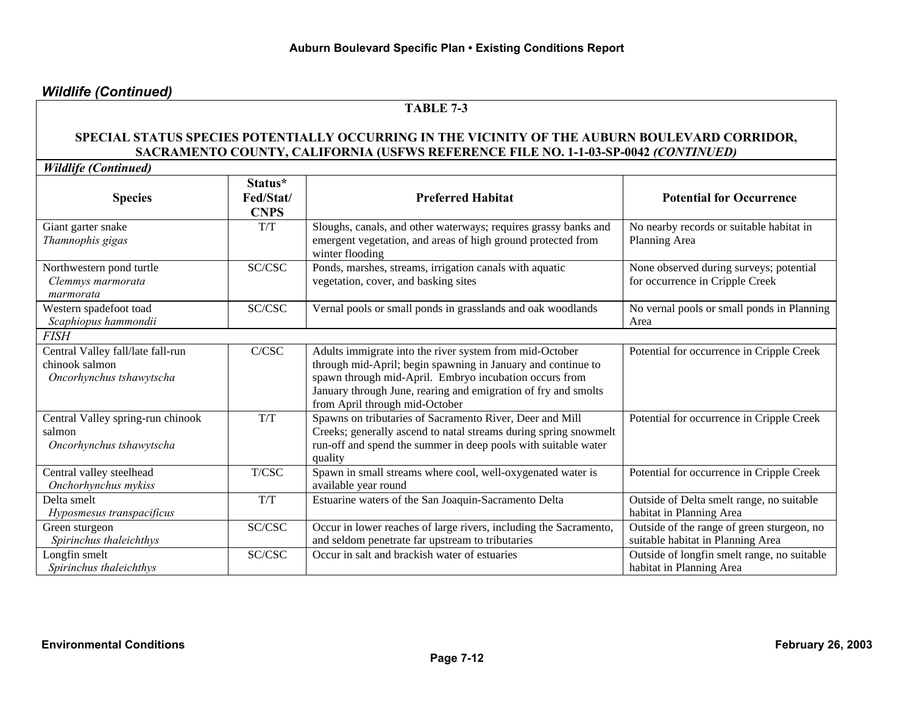# *Wildlife (Continued)*

## **TABLE 7-3**

#### **SPECIAL STATUS SPECIES POTENTIALLY OCCURRING IN THE VICINITY OF THE AUBURN BOULEVARD CORRIDOR, SACRAMENTO COUNTY, CALIFORNIA (USFWS REFERENCE FILE NO. 1-1-03-SP-0042** *(CONTINUED)*

*Wildlife (Continued)*

| <b>Species</b>                                                                  | Status*<br>Fed/Stat/<br><b>CNPS</b> | <b>Preferred Habitat</b>                                                                                                                                                                                                                                                              | <b>Potential for Occurrence</b>                                                 |
|---------------------------------------------------------------------------------|-------------------------------------|---------------------------------------------------------------------------------------------------------------------------------------------------------------------------------------------------------------------------------------------------------------------------------------|---------------------------------------------------------------------------------|
| Giant garter snake<br>Thamnophis gigas                                          | T/T                                 | Sloughs, canals, and other waterways; requires grassy banks and<br>emergent vegetation, and areas of high ground protected from<br>winter flooding                                                                                                                                    | No nearby records or suitable habitat in<br>Planning Area                       |
| Northwestern pond turtle<br>Clemmys marmorata<br>marmorata                      | SC/CSC                              | Ponds, marshes, streams, irrigation canals with aquatic<br>vegetation, cover, and basking sites                                                                                                                                                                                       | None observed during surveys; potential<br>for occurrence in Cripple Creek      |
| Western spadefoot toad<br>Scaphiopus hammondii                                  | SC/CSC                              | Vernal pools or small ponds in grasslands and oak woodlands                                                                                                                                                                                                                           | No vernal pools or small ponds in Planning<br>Area                              |
| <i>FISH</i>                                                                     |                                     |                                                                                                                                                                                                                                                                                       |                                                                                 |
| Central Valley fall/late fall-run<br>chinook salmon<br>Oncorhynchus tshawytscha | C/CSC                               | Adults immigrate into the river system from mid-October<br>through mid-April; begin spawning in January and continue to<br>spawn through mid-April. Embryo incubation occurs from<br>January through June, rearing and emigration of fry and smolts<br>from April through mid-October | Potential for occurrence in Cripple Creek                                       |
| Central Valley spring-run chinook<br>salmon<br>Oncorhynchus tshawytscha         | T/T                                 | Spawns on tributaries of Sacramento River, Deer and Mill<br>Creeks; generally ascend to natal streams during spring snowmelt<br>run-off and spend the summer in deep pools with suitable water<br>quality                                                                             | Potential for occurrence in Cripple Creek                                       |
| Central valley steelhead<br>Onchorhynchus mykiss                                | T/CSC                               | Spawn in small streams where cool, well-oxygenated water is<br>available year round                                                                                                                                                                                                   | Potential for occurrence in Cripple Creek                                       |
| Delta smelt<br>Hyposmesus transpacificus                                        | T/T                                 | Estuarine waters of the San Joaquin-Sacramento Delta                                                                                                                                                                                                                                  | Outside of Delta smelt range, no suitable<br>habitat in Planning Area           |
| Green sturgeon<br>Spirinchus thaleichthys                                       | SC/CSC                              | Occur in lower reaches of large rivers, including the Sacramento,<br>and seldom penetrate far upstream to tributaries                                                                                                                                                                 | Outside of the range of green sturgeon, no<br>suitable habitat in Planning Area |
| Longfin smelt<br>Spirinchus thaleichthys                                        | SC/CSC                              | Occur in salt and brackish water of estuaries                                                                                                                                                                                                                                         | Outside of longfin smelt range, no suitable<br>habitat in Planning Area         |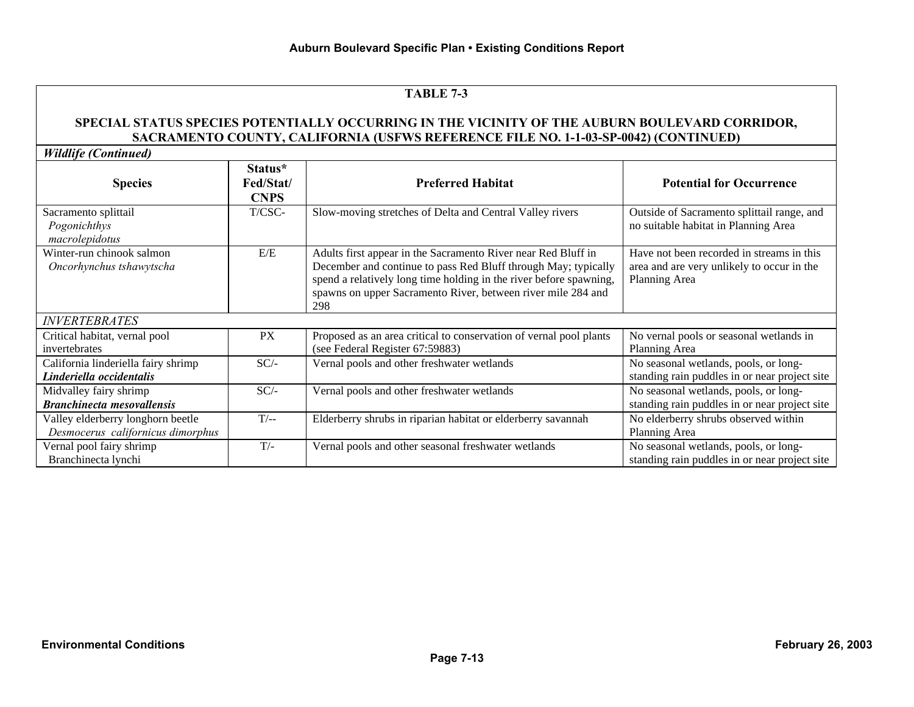#### **SPECIAL STATUS SPECIES POTENTIALLY OCCURRING IN THE VICINITY OF THE AUBURN BOULEVARD CORRIDOR, SACRAMENTO COUNTY, CALIFORNIA (USFWS REFERENCE FILE NO. 1-1-03-SP-0042) (CONTINUED)**

*Wildlife (Continued)*

| <b>Species</b>                                                         | Status*<br>Fed/Stat/<br><b>CNPS</b> | <b>Preferred Habitat</b>                                                                                                                                                                                                                                                     | <b>Potential for Occurrence</b>                                                                          |
|------------------------------------------------------------------------|-------------------------------------|------------------------------------------------------------------------------------------------------------------------------------------------------------------------------------------------------------------------------------------------------------------------------|----------------------------------------------------------------------------------------------------------|
| Sacramento splittail<br>Pogonichthys<br>macrolepidotus                 | T/CSC-                              | Slow-moving stretches of Delta and Central Valley rivers                                                                                                                                                                                                                     | Outside of Sacramento splittail range, and<br>no suitable habitat in Planning Area                       |
| Winter-run chinook salmon<br>Oncorhynchus tshawytscha                  | E/E                                 | Adults first appear in the Sacramento River near Red Bluff in<br>December and continue to pass Red Bluff through May; typically<br>spend a relatively long time holding in the river before spawning,<br>spawns on upper Sacramento River, between river mile 284 and<br>298 | Have not been recorded in streams in this<br>area and are very unlikely to occur in the<br>Planning Area |
| <b>INVERTEBRATES</b>                                                   |                                     |                                                                                                                                                                                                                                                                              |                                                                                                          |
| Critical habitat, vernal pool<br>invertebrates                         | PX                                  | Proposed as an area critical to conservation of vernal pool plants<br>(see Federal Register 67:59883)                                                                                                                                                                        | No vernal pools or seasonal wetlands in<br>Planning Area                                                 |
| California linderiella fairy shrimp<br>Linderiella occidentalis        | $SC/-$                              | Vernal pools and other freshwater wetlands                                                                                                                                                                                                                                   | No seasonal wetlands, pools, or long-<br>standing rain puddles in or near project site                   |
| Midvalley fairy shrimp<br><b>Branchinecta mesovallensis</b>            | $SC/-$                              | Vernal pools and other freshwater wetlands                                                                                                                                                                                                                                   | No seasonal wetlands, pools, or long-<br>standing rain puddles in or near project site                   |
| Valley elderberry longhorn beetle<br>Desmocerus californicus dimorphus | $T/-$                               | Elderberry shrubs in riparian habitat or elderberry savannah                                                                                                                                                                                                                 | No elderberry shrubs observed within<br>Planning Area                                                    |
| Vernal pool fairy shrimp<br>Branchinecta lynchi                        | $T/-$                               | Vernal pools and other seasonal freshwater wetlands                                                                                                                                                                                                                          | No seasonal wetlands, pools, or long-<br>standing rain puddles in or near project site                   |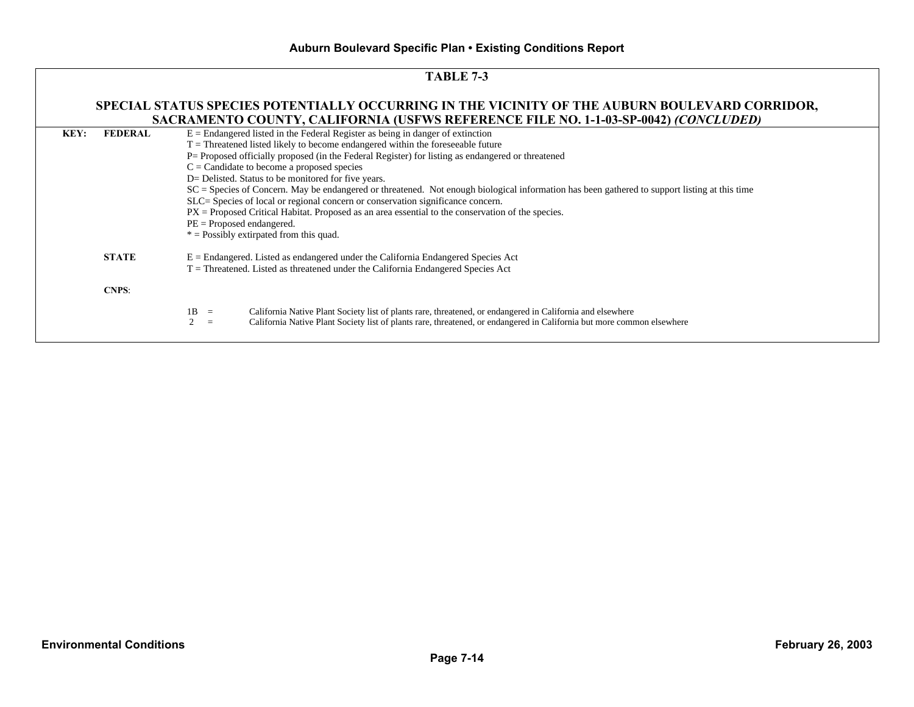|      | <b>TABLE 7-3</b>                                                                                                                                                                      |                                                                                                                                                                                                                                                                                                                                                                                                                                                                                                                                                                                                                                                                                                                                                                                                          |  |  |  |  |  |
|------|---------------------------------------------------------------------------------------------------------------------------------------------------------------------------------------|----------------------------------------------------------------------------------------------------------------------------------------------------------------------------------------------------------------------------------------------------------------------------------------------------------------------------------------------------------------------------------------------------------------------------------------------------------------------------------------------------------------------------------------------------------------------------------------------------------------------------------------------------------------------------------------------------------------------------------------------------------------------------------------------------------|--|--|--|--|--|
|      | SPECIAL STATUS SPECIES POTENTIALLY OCCURRING IN THE VICINITY OF THE AUBURN BOULEVARD CORRIDOR,<br>SACRAMENTO COUNTY, CALIFORNIA (USFWS REFERENCE FILE NO. 1-1-03-SP-0042) (CONCLUDED) |                                                                                                                                                                                                                                                                                                                                                                                                                                                                                                                                                                                                                                                                                                                                                                                                          |  |  |  |  |  |
| KEY: | <b>FEDERAL</b>                                                                                                                                                                        | $E =$ Endangered listed in the Federal Register as being in danger of extinction<br>$T =$ Threatened listed likely to become endangered within the foreseeable future<br>P= Proposed officially proposed (in the Federal Register) for listing as endangered or threatened<br>$C =$ Candidate to become a proposed species<br>D= Delisted. Status to be monitored for five years.<br>SC = Species of Concern. May be endangered or threatened. Not enough biological information has been gathered to support listing at this time<br>SLC= Species of local or regional concern or conservation significance concern.<br>$PX =$ Proposed Critical Habitat. Proposed as an area essential to the conservation of the species.<br>$PE =$ Proposed endangered.<br>$*$ = Possibly extirpated from this quad. |  |  |  |  |  |
|      | <b>STATE</b>                                                                                                                                                                          | $E =$ Endangered. Listed as endangered under the California Endangered Species Act<br>$T =$ Threatened. Listed as threatened under the California Endangered Species Act                                                                                                                                                                                                                                                                                                                                                                                                                                                                                                                                                                                                                                 |  |  |  |  |  |
|      | <b>CNPS:</b>                                                                                                                                                                          |                                                                                                                                                                                                                                                                                                                                                                                                                                                                                                                                                                                                                                                                                                                                                                                                          |  |  |  |  |  |
|      |                                                                                                                                                                                       | $1B =$<br>California Native Plant Society list of plants rare, threatened, or endangered in California and elsewhere<br>California Native Plant Society list of plants rare, threatened, or endangered in California but more common elsewhere<br>$\overline{2}$<br>$=$                                                                                                                                                                                                                                                                                                                                                                                                                                                                                                                                  |  |  |  |  |  |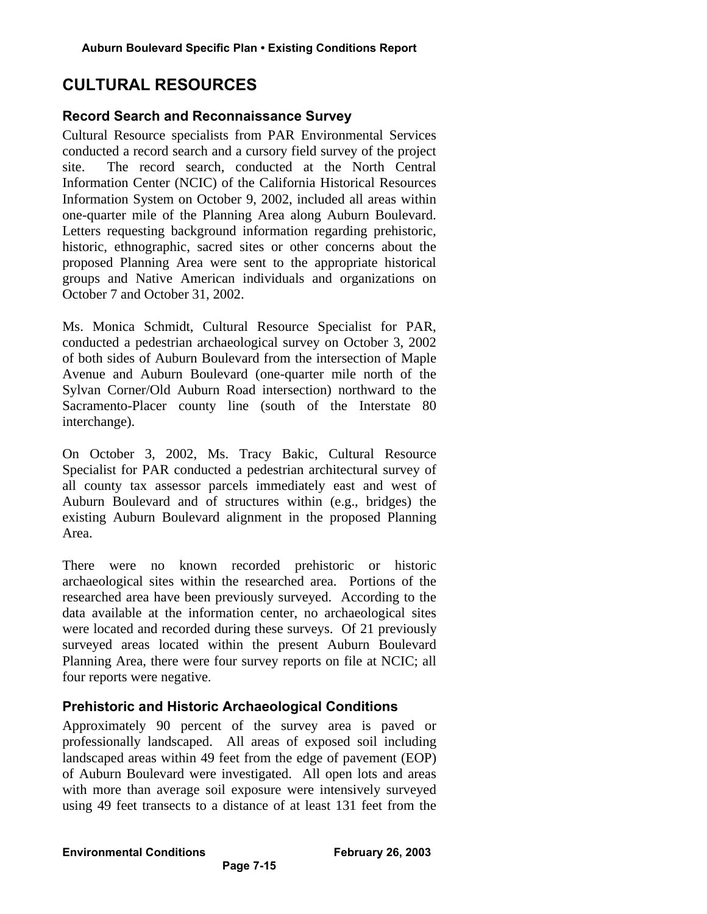# **CULTURAL RESOURCES**

#### **Record Search and Reconnaissance Survey**

Cultural Resource specialists from PAR Environmental Services conducted a record search and a cursory field survey of the project site. The record search, conducted at the North Central Information Center (NCIC) of the California Historical Resources Information System on October 9, 2002, included all areas within one-quarter mile of the Planning Area along Auburn Boulevard. Letters requesting background information regarding prehistoric, historic, ethnographic, sacred sites or other concerns about the proposed Planning Area were sent to the appropriate historical groups and Native American individuals and organizations on October 7 and October 31, 2002.

Ms. Monica Schmidt, Cultural Resource Specialist for PAR, conducted a pedestrian archaeological survey on October 3, 2002 of both sides of Auburn Boulevard from the intersection of Maple Avenue and Auburn Boulevard (one-quarter mile north of the Sylvan Corner/Old Auburn Road intersection) northward to the Sacramento-Placer county line (south of the Interstate 80 interchange).

On October 3, 2002, Ms. Tracy Bakic, Cultural Resource Specialist for PAR conducted a pedestrian architectural survey of all county tax assessor parcels immediately east and west of Auburn Boulevard and of structures within (e.g., bridges) the existing Auburn Boulevard alignment in the proposed Planning Area.

There were no known recorded prehistoric or historic archaeological sites within the researched area. Portions of the researched area have been previously surveyed. According to the data available at the information center, no archaeological sites were located and recorded during these surveys. Of 21 previously surveyed areas located within the present Auburn Boulevard Planning Area, there were four survey reports on file at NCIC; all four reports were negative.

## **Prehistoric and Historic Archaeological Conditions**

Approximately 90 percent of the survey area is paved or professionally landscaped. All areas of exposed soil including landscaped areas within 49 feet from the edge of pavement (EOP) of Auburn Boulevard were investigated. All open lots and areas with more than average soil exposure were intensively surveyed using 49 feet transects to a distance of at least 131 feet from the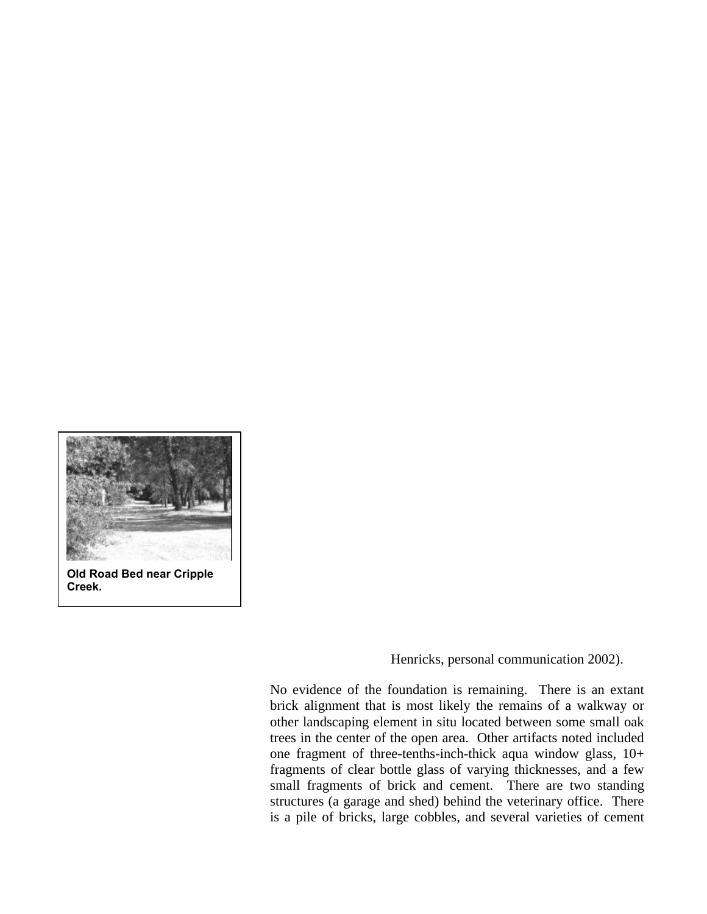

**Old Road Bed near Cripple Creek.**

Henricks, personal communication 2002).

No evidence of the foundation is remaining. There is an extant brick alignment that is most likely the remains of a walkway or other landscaping element in situ located between some small oak trees in the center of the open area. Other artifacts noted included one fragment of three-tenths-inch-thick aqua window glass, 10+ fragments of clear bottle glass of varying thicknesses, and a few small fragments of brick and cement. There are two standing structures (a garage and shed) behind the veterinary office. There is a pile of bricks, large cobbles, and several varieties of cement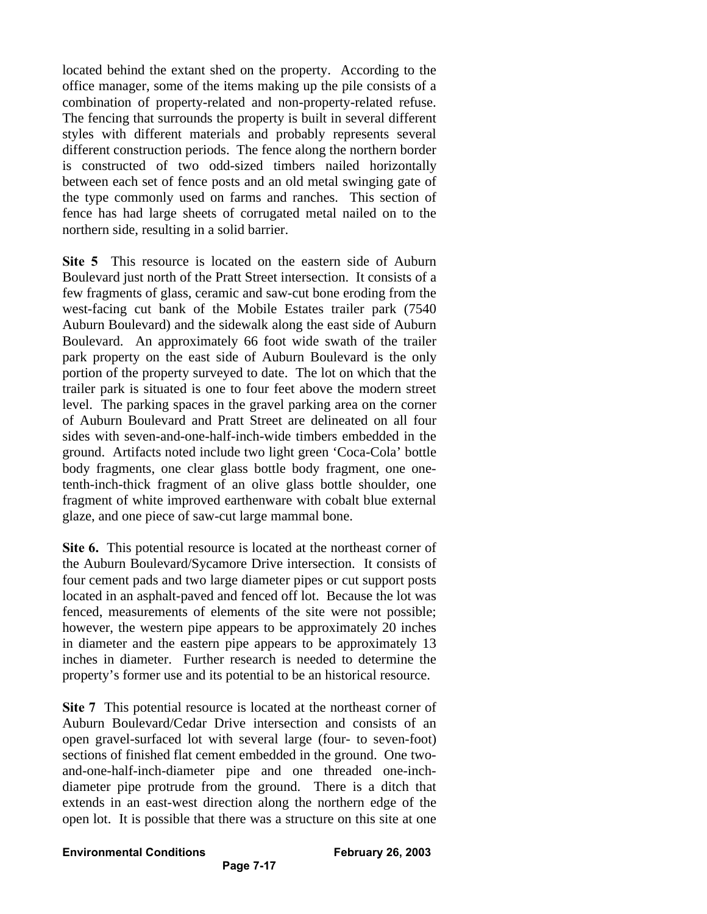located behind the extant shed on the property. According to the office manager, some of the items making up the pile consists of a combination of property-related and non-property-related refuse. The fencing that surrounds the property is built in several different styles with different materials and probably represents several different construction periods. The fence along the northern border is constructed of two odd-sized timbers nailed horizontally between each set of fence posts and an old metal swinging gate of the type commonly used on farms and ranches. This section of fence has had large sheets of corrugated metal nailed on to the northern side, resulting in a solid barrier.

**Site 5** This resource is located on the eastern side of Auburn Boulevard just north of the Pratt Street intersection. It consists of a few fragments of glass, ceramic and saw-cut bone eroding from the west-facing cut bank of the Mobile Estates trailer park (7540 Auburn Boulevard) and the sidewalk along the east side of Auburn Boulevard. An approximately 66 foot wide swath of the trailer park property on the east side of Auburn Boulevard is the only portion of the property surveyed to date. The lot on which that the trailer park is situated is one to four feet above the modern street level. The parking spaces in the gravel parking area on the corner of Auburn Boulevard and Pratt Street are delineated on all four sides with seven-and-one-half-inch-wide timbers embedded in the ground. Artifacts noted include two light green 'Coca-Cola' bottle body fragments, one clear glass bottle body fragment, one onetenth-inch-thick fragment of an olive glass bottle shoulder, one fragment of white improved earthenware with cobalt blue external glaze, and one piece of saw-cut large mammal bone.

**Site 6.** This potential resource is located at the northeast corner of the Auburn Boulevard/Sycamore Drive intersection. It consists of four cement pads and two large diameter pipes or cut support posts located in an asphalt-paved and fenced off lot. Because the lot was fenced, measurements of elements of the site were not possible; however, the western pipe appears to be approximately 20 inches in diameter and the eastern pipe appears to be approximately 13 inches in diameter. Further research is needed to determine the property's former use and its potential to be an historical resource.

**Site 7** This potential resource is located at the northeast corner of Auburn Boulevard/Cedar Drive intersection and consists of an open gravel-surfaced lot with several large (four- to seven-foot) sections of finished flat cement embedded in the ground. One twoand-one-half-inch-diameter pipe and one threaded one-inchdiameter pipe protrude from the ground. There is a ditch that extends in an east-west direction along the northern edge of the open lot. It is possible that there was a structure on this site at one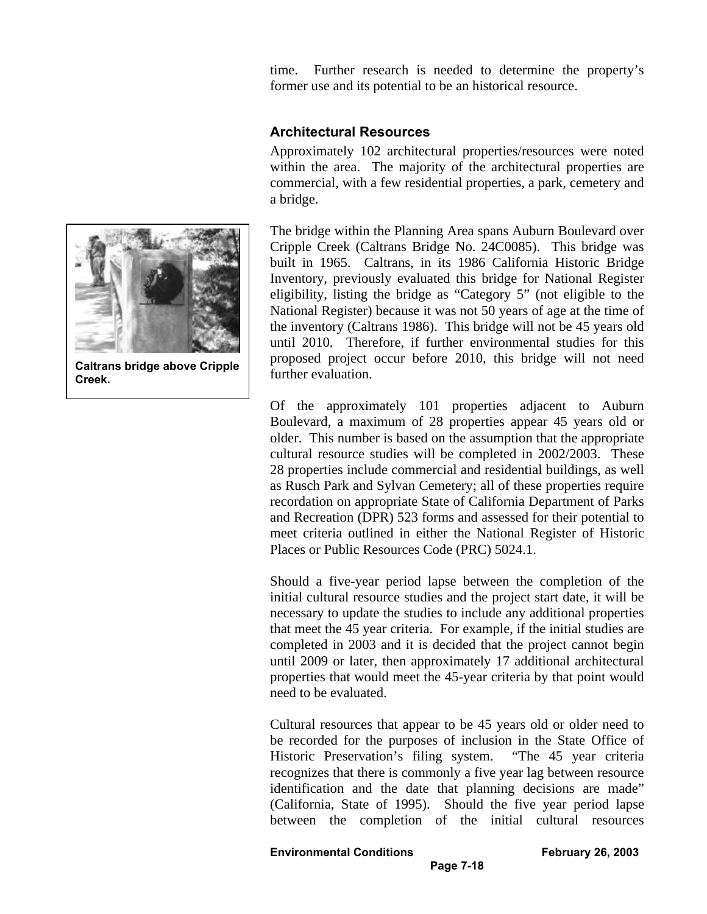time. Further research is needed to determine the property's former use and its potential to be an historical resource.

#### **Architectural Resources**

Approximately 102 architectural properties/resources were noted within the area. The majority of the architectural properties are commercial, with a few residential properties, a park, cemetery and a bridge.

The bridge within the Planning Area spans Auburn Boulevard over Cripple Creek (Caltrans Bridge No. 24C0085). This bridge was built in 1965. Caltrans, in its 1986 California Historic Bridge Inventory, previously evaluated this bridge for National Register eligibility, listing the bridge as "Category 5" (not eligible to the National Register) because it was not 50 years of age at the time of the inventory (Caltrans 1986). This bridge will not be 45 years old until 2010. Therefore, if further environmental studies for this proposed project occur before 2010, this bridge will not need further evaluation.

Of the approximately 101 properties adjacent to Auburn Boulevard, a maximum of 28 properties appear 45 years old or older. This number is based on the assumption that the appropriate cultural resource studies will be completed in 2002/2003. These 28 properties include commercial and residential buildings, as well as Rusch Park and Sylvan Cemetery; all of these properties require recordation on appropriate State of California Department of Parks and Recreation (DPR) 523 forms and assessed for their potential to meet criteria outlined in either the National Register of Historic Places or Public Resources Code (PRC) 5024.1.

Should a five-year period lapse between the completion of the initial cultural resource studies and the project start date, it will be necessary to update the studies to include any additional properties that meet the 45 year criteria. For example, if the initial studies are completed in 2003 and it is decided that the project cannot begin until 2009 or later, then approximately 17 additional architectural properties that would meet the 45-year criteria by that point would need to be evaluated.

Cultural resources that appear to be 45 years old or older need to be recorded for the purposes of inclusion in the State Office of Historic Preservation's filing system. "The 45 year criteria recognizes that there is commonly a five year lag between resource identification and the date that planning decisions are made" (California, State of 1995). Should the five year period lapse between the completion of the initial cultural resources



**Caltrans bridge above Cripple Creek.**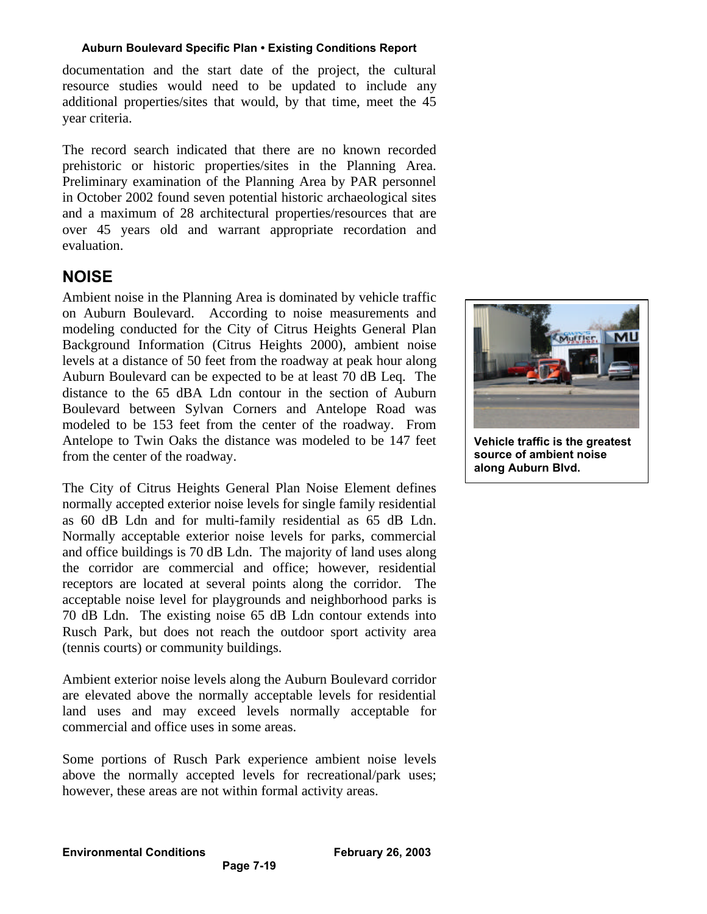documentation and the start date of the project, the cultural resource studies would need to be updated to include any additional properties/sites that would, by that time, meet the 45 year criteria.

The record search indicated that there are no known recorded prehistoric or historic properties/sites in the Planning Area. Preliminary examination of the Planning Area by PAR personnel in October 2002 found seven potential historic archaeological sites and a maximum of 28 architectural properties/resources that are over 45 years old and warrant appropriate recordation and evaluation.

# **NOISE**

Ambient noise in the Planning Area is dominated by vehicle traffic on Auburn Boulevard. According to noise measurements and modeling conducted for the City of Citrus Heights General Plan Background Information (Citrus Heights 2000), ambient noise levels at a distance of 50 feet from the roadway at peak hour along Auburn Boulevard can be expected to be at least 70 dB Leq. The distance to the 65 dBA Ldn contour in the section of Auburn Boulevard between Sylvan Corners and Antelope Road was modeled to be 153 feet from the center of the roadway. From Antelope to Twin Oaks the distance was modeled to be 147 feet from the center of the roadway.

The City of Citrus Heights General Plan Noise Element defines normally accepted exterior noise levels for single family residential as 60 dB Ldn and for multi-family residential as 65 dB Ldn. Normally acceptable exterior noise levels for parks, commercial and office buildings is 70 dB Ldn. The majority of land uses along the corridor are commercial and office; however, residential receptors are located at several points along the corridor. The acceptable noise level for playgrounds and neighborhood parks is 70 dB Ldn. The existing noise 65 dB Ldn contour extends into Rusch Park, but does not reach the outdoor sport activity area (tennis courts) or community buildings.

Ambient exterior noise levels along the Auburn Boulevard corridor are elevated above the normally acceptable levels for residential land uses and may exceed levels normally acceptable for commercial and office uses in some areas.

Some portions of Rusch Park experience ambient noise levels above the normally accepted levels for recreational/park uses; however, these areas are not within formal activity areas.

**Page 7-19**



**Vehicle traffic is the greatest source of ambient noise along Auburn Blvd.**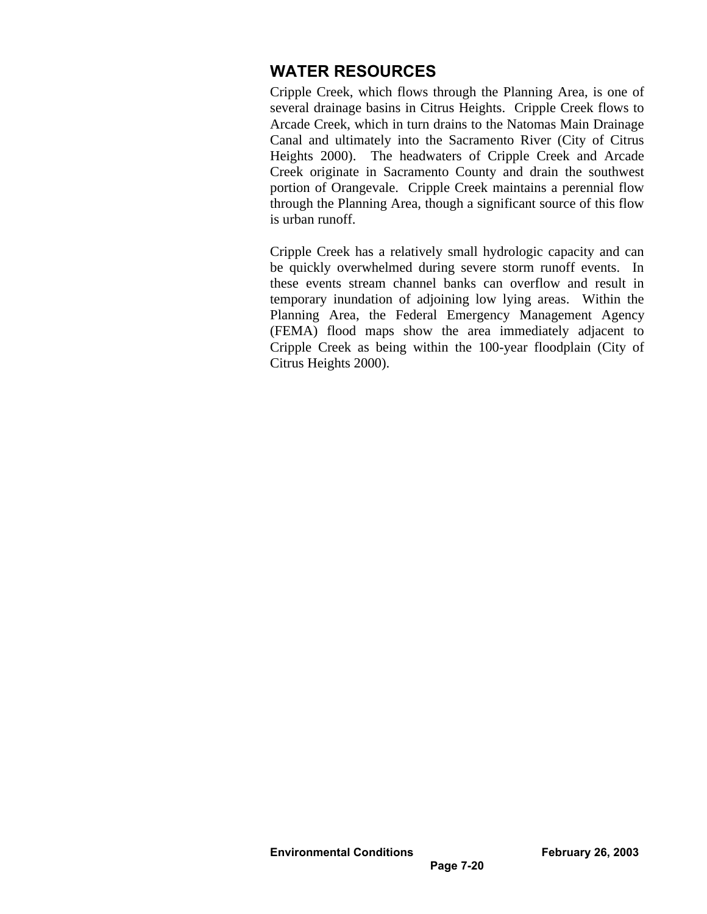# **WATER RESOURCES**

Cripple Creek, which flows through the Planning Area, is one of several drainage basins in Citrus Heights. Cripple Creek flows to Arcade Creek, which in turn drains to the Natomas Main Drainage Canal and ultimately into the Sacramento River (City of Citrus Heights 2000). The headwaters of Cripple Creek and Arcade Creek originate in Sacramento County and drain the southwest portion of Orangevale. Cripple Creek maintains a perennial flow through the Planning Area, though a significant source of this flow is urban runoff.

Cripple Creek has a relatively small hydrologic capacity and can be quickly overwhelmed during severe storm runoff events. In these events stream channel banks can overflow and result in temporary inundation of adjoining low lying areas. Within the Planning Area, the Federal Emergency Management Agency (FEMA) flood maps show the area immediately adjacent to Cripple Creek as being within the 100-year floodplain (City of Citrus Heights 2000).